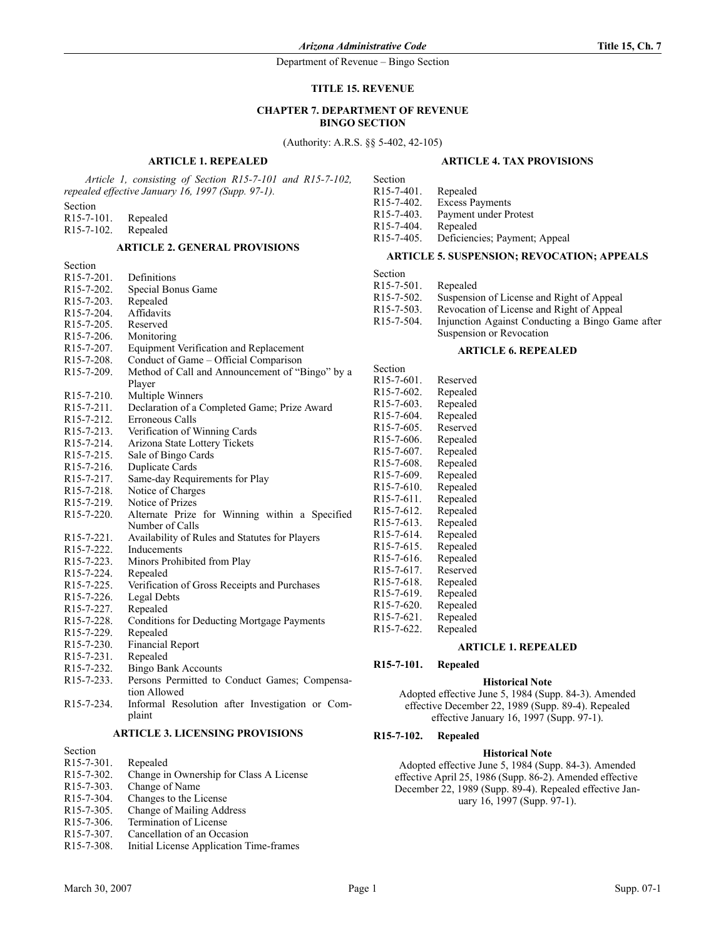*Arizona Administrative Code* **Title 15, Ch. 7**

Department of Revenue – Bingo Section

#### **TITLE 15. REVENUE**

# **CHAPTER 7. DEPARTMENT OF REVENUE BINGO SECTION**

(Authority: A.R.S. §§ 5-402, 42-105)

#### **ARTICLE 1. REPEALED**

*Article 1, consisting of Section R15-7-101 and R15-7-102, repealed effective January 16, 1997 (Supp. 97-1).*

Section

| R <sub>15</sub> -7-101. | Repealed |
|-------------------------|----------|
| R <sub>15</sub> -7-102. | Repealed |

# **ARTICLE 2. GENERAL PROVISIONS**

| Definitions                                               |
|-----------------------------------------------------------|
| Special Bonus Game                                        |
| Repealed                                                  |
| <b>Affidavits</b>                                         |
| Reserved                                                  |
| Monitoring                                                |
| Equipment Verification and Replacement                    |
| Conduct of Game - Official Comparison                     |
| Method of Call and Announcement of "Bingo" by a<br>Player |
| Multiple Winners                                          |
| Declaration of a Completed Game; Prize Award              |
| Erroneous Calls                                           |
| Verification of Winning Cards                             |
| Arizona State Lottery Tickets                             |
| Sale of Bingo Cards                                       |
| Duplicate Cards                                           |
| Same-day Requirements for Play                            |
| Notice of Charges                                         |
| Notice of Prizes                                          |
| Alternate Prize for Winning within a Specified            |
| Number of Calls                                           |
| Availability of Rules and Statutes for Players            |
| Inducements                                               |
| Minors Prohibited from Play                               |
| Repealed                                                  |
| Verification of Gross Receipts and Purchases              |
| Legal Debts                                               |
| Repealed                                                  |
| Conditions for Deducting Mortgage Payments                |
| Repealed                                                  |
| <b>Financial Report</b>                                   |
| Repealed                                                  |
| <b>Bingo Bank Accounts</b>                                |
| Persons Permitted to Conduct Games; Compensa-             |
| tion Allowed                                              |
|                                                           |

R15-7-234. Informal Resolution after Investigation or Complaint

#### **ARTICLE 3. LICENSING PROVISIONS**

Section R15-7-301. Repealed<br>R15-7-302. Change in Change in Ownership for Class A License R15-7-303. Change of Name R15-7-304. Changes to the License<br>R15-7-305. Change of Mailing Add Change of Mailing Address R15-7-306. Termination of License R15-7-307. Cancellation of an Occasion<br>R15-7-308. Initial License Application T

Initial License Application Time-frames

#### **ARTICLE 4. TAX PROVISIONS**

| Section                              |                               |
|--------------------------------------|-------------------------------|
| R <sub>15</sub> -7-40 <sub>1</sub> . | Repealed                      |
| $R15 - 7 - 402$                      | <b>Excess Payments</b>        |
| $R15 - 7 - 403$ .                    | Payment under Protest         |
| R <sub>15</sub> -7-404.              | Repealed                      |
| R <sub>15</sub> -7-405.              | Deficiencies; Payment; Appeal |

#### **ARTICLE 5. SUSPENSION; REVOCATION; APPEALS**

Section

- R15-7-501. Repealed R15-7-502. Suspension of License and Right of Appeal
- 
- R15-7-503. Revocation of License and Right of Appeal
- R15-7-504. Injunction Against Conducting a Bingo Game after Suspension or Revocation

#### **ARTICLE 6. REPEALED**

| Section                              |          |
|--------------------------------------|----------|
| R <sub>15</sub> -7-601.              | Reserved |
| R15-7-602.                           | Repealed |
| R <sub>15</sub> -7-603.              | Repealed |
| R15-7-604.                           | Repealed |
| R <sub>15</sub> -7-605.              | Reserved |
| R <sub>15</sub> -7-606.              | Repealed |
| R <sub>15</sub> -7-607.              | Repealed |
| R <sub>15</sub> -7-608.              | Repealed |
| R <sub>15</sub> -7-609.              | Repealed |
| R <sub>15</sub> -7-610.              | Repealed |
| R15-7-611.                           | Repealed |
| R <sub>15</sub> -7-612.              | Repealed |
| R <sub>15</sub> -7-613.              | Repealed |
| R <sub>15</sub> -7-614.              | Repealed |
| R <sub>15</sub> -7-615.              | Repealed |
| R <sub>15</sub> -7-616.              | Repealed |
| R <sub>15</sub> -7-617.              | Reserved |
| R <sub>15</sub> -7-618.              | Repealed |
| R15-7-619.                           | Repealed |
| R <sub>15</sub> -7-620.              | Repealed |
| R <sub>15</sub> -7-62 <sub>1</sub> . | Repealed |
| R15-7-622.                           | Repealed |

# **ARTICLE 1. REPEALED**

# **R15-7-101. Repealed**

**Historical Note** Adopted effective June 5, 1984 (Supp. 84-3). Amended effective December 22, 1989 (Supp. 89-4). Repealed effective January 16, 1997 (Supp. 97-1).

# **R15-7-102. Repealed**

**Historical Note**

Adopted effective June 5, 1984 (Supp. 84-3). Amended effective April 25, 1986 (Supp. 86-2). Amended effective December 22, 1989 (Supp. 89-4). Repealed effective January 16, 1997 (Supp. 97-1).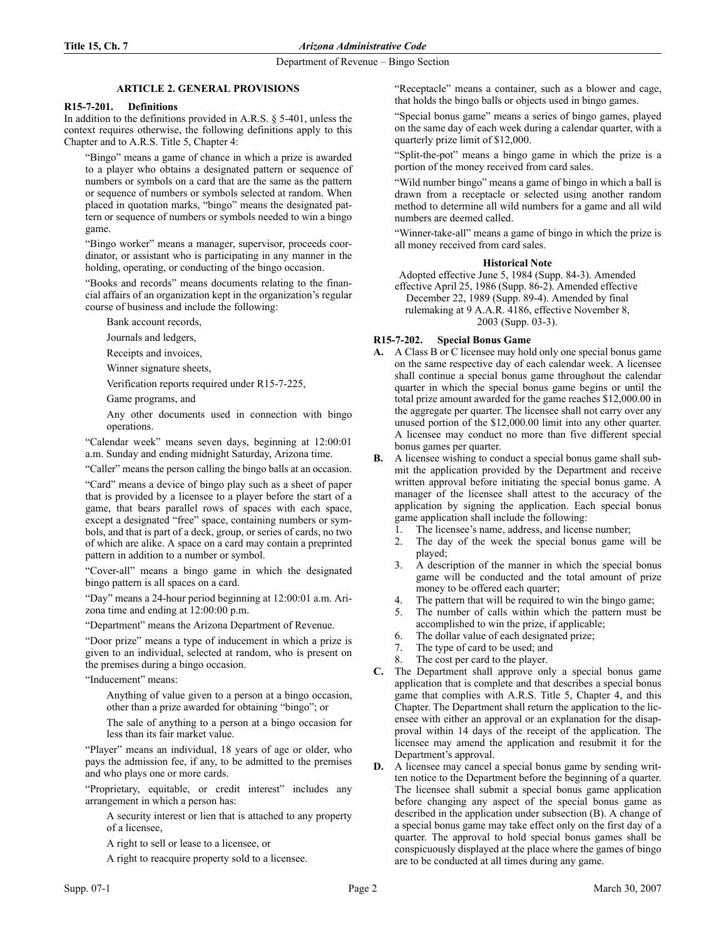# **ARTICLE 2. GENERAL PROVISIONS**

#### **R15-7-201. Definitions**

In addition to the definitions provided in A.R.S. § 5-401, unless the context requires otherwise, the following definitions apply to this Chapter and to A.R.S. Title 5, Chapter 4:

"Bingo" means a game of chance in which a prize is awarded to a player who obtains a designated pattern or sequence of numbers or symbols on a card that are the same as the pattern or sequence of numbers or symbols selected at random. When placed in quotation marks, "bingo" means the designated pattern or sequence of numbers or symbols needed to win a bingo game.

"Bingo worker" means a manager, supervisor, proceeds coordinator, or assistant who is participating in any manner in the holding, operating, or conducting of the bingo occasion.

"Books and records" means documents relating to the financial affairs of an organization kept in the organization's regular course of business and include the following:

Bank account records,

Journals and ledgers,

Receipts and invoices,

Winner signature sheets,

Verification reports required under R15-7-225,

Game programs, and

Any other documents used in connection with bingo operations.

"Calendar week" means seven days, beginning at 12:00:01 a.m. Sunday and ending midnight Saturday, Arizona time.

"Caller" means the person calling the bingo balls at an occasion.

"Card" means a device of bingo play such as a sheet of paper that is provided by a licensee to a player before the start of a game, that bears parallel rows of spaces with each space, except a designated "free" space, containing numbers or symbols, and that is part of a deck, group, or series of cards, no two of which are alike. A space on a card may contain a preprinted pattern in addition to a number or symbol.

"Cover-all" means a bingo game in which the designated bingo pattern is all spaces on a card.

"Day" means a 24-hour period beginning at 12:00:01 a.m. Arizona time and ending at 12:00:00 p.m.

"Department" means the Arizona Department of Revenue.

"Door prize" means a type of inducement in which a prize is given to an individual, selected at random, who is present on the premises during a bingo occasion.

"Inducement" means:

Anything of value given to a person at a bingo occasion, other than a prize awarded for obtaining "bingo"; or

The sale of anything to a person at a bingo occasion for less than its fair market value.

"Player" means an individual, 18 years of age or older, who pays the admission fee, if any, to be admitted to the premises and who plays one or more cards.

"Proprietary, equitable, or credit interest" includes any arrangement in which a person has:

A security interest or lien that is attached to any property of a licensee,

A right to sell or lease to a licensee, or

A right to reacquire property sold to a licensee.

"Receptacle" means a container, such as a blower and cage, that holds the bingo balls or objects used in bingo games.

"Special bonus game" means a series of bingo games, played on the same day of each week during a calendar quarter, with a quarterly prize limit of \$12,000.

"Split-the-pot" means a bingo game in which the prize is a portion of the money received from card sales.

"Wild number bingo" means a game of bingo in which a ball is drawn from a receptacle or selected using another random method to determine all wild numbers for a game and all wild numbers are deemed called.

"Winner-take-all" means a game of bingo in which the prize is all money received from card sales.

# **Historical Note**

Adopted effective June 5, 1984 (Supp. 84-3). Amended effective April 25, 1986 (Supp. 86-2). Amended effective December 22, 1989 (Supp. 89-4). Amended by final rulemaking at 9 A.A.R. 4186, effective November 8, 2003 (Supp. 03-3).

# **R15-7-202. Special Bonus Game**

- **A.** A Class B or C licensee may hold only one special bonus game on the same respective day of each calendar week. A licensee shall continue a special bonus game throughout the calendar quarter in which the special bonus game begins or until the total prize amount awarded for the game reaches \$12,000.00 in the aggregate per quarter. The licensee shall not carry over any unused portion of the \$12,000.00 limit into any other quarter. A licensee may conduct no more than five different special bonus games per quarter.
- **B.** A licensee wishing to conduct a special bonus game shall submit the application provided by the Department and receive written approval before initiating the special bonus game. A manager of the licensee shall attest to the accuracy of the application by signing the application. Each special bonus game application shall include the following:
	- 1. The licensee's name, address, and license number;
	- 2. The day of the week the special bonus game will be played;
	- 3. A description of the manner in which the special bonus game will be conducted and the total amount of prize money to be offered each quarter;
	- 4. The pattern that will be required to win the bingo game;
	- 5. The number of calls within which the pattern must be accomplished to win the prize, if applicable;
	- 6. The dollar value of each designated prize;
	- 7. The type of card to be used; and
	- 8. The cost per card to the player.
- **C.** The Department shall approve only a special bonus game application that is complete and that describes a special bonus game that complies with A.R.S. Title 5, Chapter 4, and this Chapter. The Department shall return the application to the licensee with either an approval or an explanation for the disapproval within 14 days of the receipt of the application. The licensee may amend the application and resubmit it for the Department's approval.
- **D.** A licensee may cancel a special bonus game by sending written notice to the Department before the beginning of a quarter. The licensee shall submit a special bonus game application before changing any aspect of the special bonus game as described in the application under subsection (B). A change of a special bonus game may take effect only on the first day of a quarter. The approval to hold special bonus games shall be conspicuously displayed at the place where the games of bingo are to be conducted at all times during any game.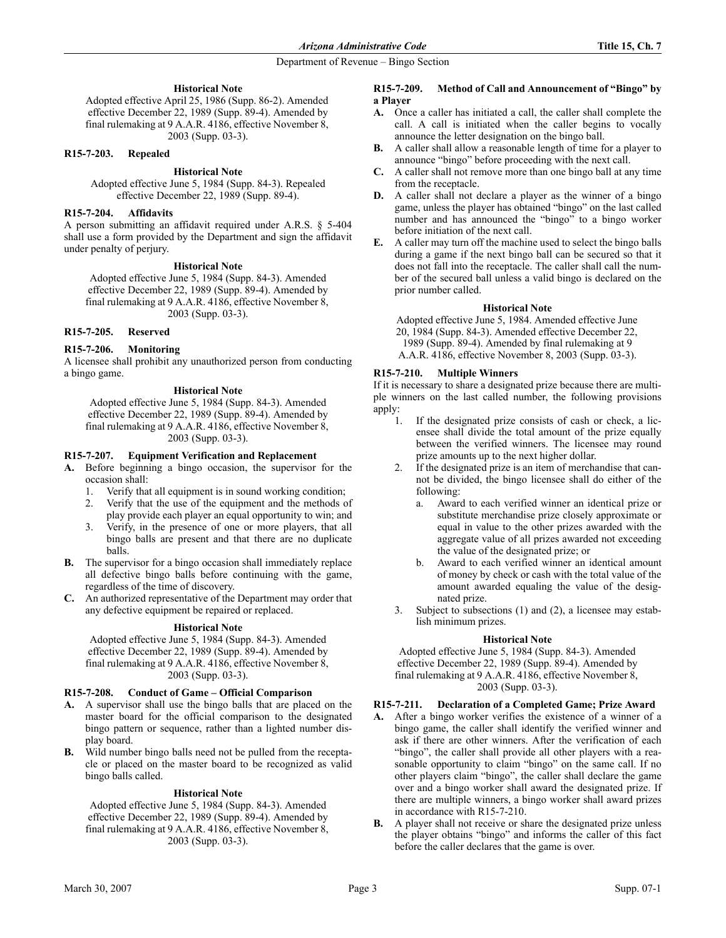#### **Historical Note**

Adopted effective April 25, 1986 (Supp. 86-2). Amended effective December 22, 1989 (Supp. 89-4). Amended by final rulemaking at 9 A.A.R. 4186, effective November 8, 2003 (Supp. 03-3).

#### **R15-7-203. Repealed**

#### **Historical Note**

Adopted effective June 5, 1984 (Supp. 84-3). Repealed effective December 22, 1989 (Supp. 89-4).

#### **R15-7-204. Affidavits**

A person submitting an affidavit required under A.R.S. § 5-404 shall use a form provided by the Department and sign the affidavit under penalty of perjury.

#### **Historical Note**

Adopted effective June 5, 1984 (Supp. 84-3). Amended effective December 22, 1989 (Supp. 89-4). Amended by final rulemaking at 9 A.A.R. 4186, effective November 8, 2003 (Supp. 03-3).

#### **R15-7-205. Reserved**

#### **R15-7-206. Monitoring**

A licensee shall prohibit any unauthorized person from conducting a bingo game.

# **Historical Note**

Adopted effective June 5, 1984 (Supp. 84-3). Amended effective December 22, 1989 (Supp. 89-4). Amended by final rulemaking at 9 A.A.R. 4186, effective November 8, 2003 (Supp. 03-3).

#### **R15-7-207. Equipment Verification and Replacement**

- **A.** Before beginning a bingo occasion, the supervisor for the occasion shall:
	- 1. Verify that all equipment is in sound working condition;
	- 2. Verify that the use of the equipment and the methods of play provide each player an equal opportunity to win; and
	- 3. Verify, in the presence of one or more players, that all bingo balls are present and that there are no duplicate balls.
- **B.** The supervisor for a bingo occasion shall immediately replace all defective bingo balls before continuing with the game, regardless of the time of discovery.
- **C.** An authorized representative of the Department may order that any defective equipment be repaired or replaced.

#### **Historical Note**

Adopted effective June 5, 1984 (Supp. 84-3). Amended effective December 22, 1989 (Supp. 89-4). Amended by final rulemaking at 9 A.A.R. 4186, effective November 8, 2003 (Supp. 03-3).

#### **R15-7-208. Conduct of Game – Official Comparison**

- **A.** A supervisor shall use the bingo balls that are placed on the master board for the official comparison to the designated bingo pattern or sequence, rather than a lighted number display board.
- **B.** Wild number bingo balls need not be pulled from the receptacle or placed on the master board to be recognized as valid bingo balls called.

# **Historical Note**

Adopted effective June 5, 1984 (Supp. 84-3). Amended effective December 22, 1989 (Supp. 89-4). Amended by final rulemaking at 9 A.A.R. 4186, effective November 8, 2003 (Supp. 03-3).

#### **R15-7-209. Method of Call and Announcement of "Bingo" by a Player**

- **A.** Once a caller has initiated a call, the caller shall complete the call. A call is initiated when the caller begins to vocally announce the letter designation on the bingo ball.
- **B.** A caller shall allow a reasonable length of time for a player to announce "bingo" before proceeding with the next call.
- **C.** A caller shall not remove more than one bingo ball at any time from the receptacle.
- **D.** A caller shall not declare a player as the winner of a bingo game, unless the player has obtained "bingo" on the last called number and has announced the "bingo" to a bingo worker before initiation of the next call.
- **E.** A caller may turn off the machine used to select the bingo balls during a game if the next bingo ball can be secured so that it does not fall into the receptacle. The caller shall call the number of the secured ball unless a valid bingo is declared on the prior number called.

#### **Historical Note**

Adopted effective June 5, 1984. Amended effective June 20, 1984 (Supp. 84-3). Amended effective December 22,

- 1989 (Supp. 89-4). Amended by final rulemaking at 9
- A.A.R. 4186, effective November 8, 2003 (Supp. 03-3).

# **R15-7-210. Multiple Winners**

If it is necessary to share a designated prize because there are multiple winners on the last called number, the following provisions apply:

- 1. If the designated prize consists of cash or check, a licensee shall divide the total amount of the prize equally between the verified winners. The licensee may round prize amounts up to the next higher dollar.
- If the designated prize is an item of merchandise that cannot be divided, the bingo licensee shall do either of the following:
	- a. Award to each verified winner an identical prize or substitute merchandise prize closely approximate or equal in value to the other prizes awarded with the aggregate value of all prizes awarded not exceeding the value of the designated prize; or
	- b. Award to each verified winner an identical amount of money by check or cash with the total value of the amount awarded equaling the value of the designated prize.
- 3. Subject to subsections (1) and (2), a licensee may establish minimum prizes.

#### **Historical Note**

Adopted effective June 5, 1984 (Supp. 84-3). Amended effective December 22, 1989 (Supp. 89-4). Amended by final rulemaking at 9 A.A.R. 4186, effective November 8, 2003 (Supp. 03-3).

# **R15-7-211. Declaration of a Completed Game; Prize Award**

- **A.** After a bingo worker verifies the existence of a winner of a bingo game, the caller shall identify the verified winner and ask if there are other winners. After the verification of each "bingo", the caller shall provide all other players with a reasonable opportunity to claim "bingo" on the same call. If no other players claim "bingo", the caller shall declare the game over and a bingo worker shall award the designated prize. If there are multiple winners, a bingo worker shall award prizes in accordance with R15-7-210.
- **B.** A player shall not receive or share the designated prize unless the player obtains "bingo" and informs the caller of this fact before the caller declares that the game is over.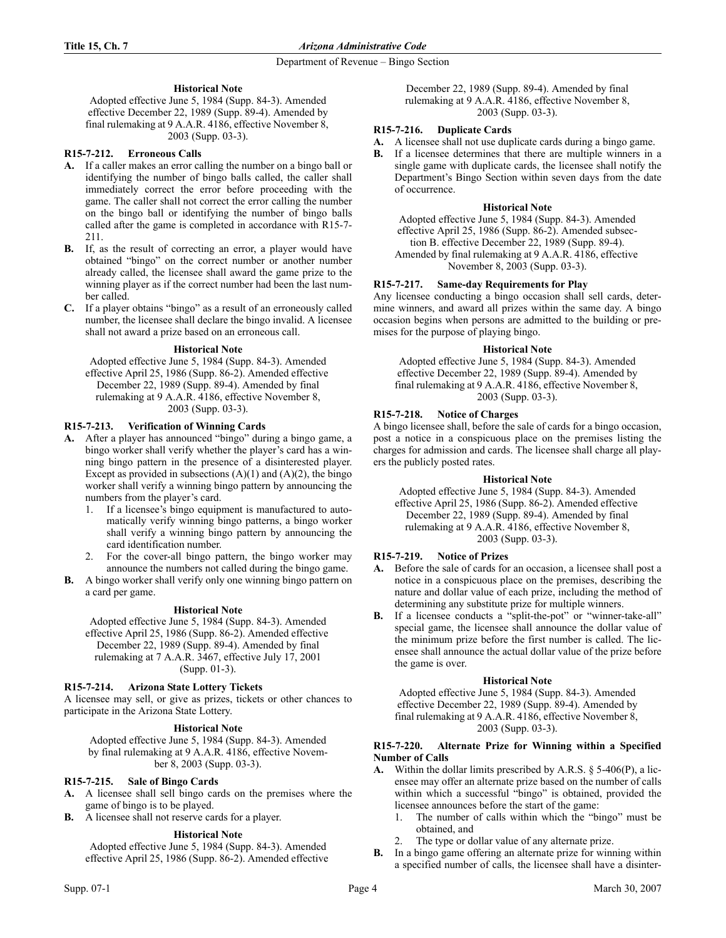# **Historical Note**

Adopted effective June 5, 1984 (Supp. 84-3). Amended effective December 22, 1989 (Supp. 89-4). Amended by final rulemaking at 9 A.A.R. 4186, effective November 8, 2003 (Supp. 03-3).

# **R15-7-212. Erroneous Calls**

- **A.** If a caller makes an error calling the number on a bingo ball or identifying the number of bingo balls called, the caller shall immediately correct the error before proceeding with the game. The caller shall not correct the error calling the number on the bingo ball or identifying the number of bingo balls called after the game is completed in accordance with R15-7- 211.
- **B.** If, as the result of correcting an error, a player would have obtained "bingo" on the correct number or another number already called, the licensee shall award the game prize to the winning player as if the correct number had been the last number called.
- **C.** If a player obtains "bingo" as a result of an erroneously called number, the licensee shall declare the bingo invalid. A licensee shall not award a prize based on an erroneous call.

# **Historical Note**

Adopted effective June 5, 1984 (Supp. 84-3). Amended effective April 25, 1986 (Supp. 86-2). Amended effective December 22, 1989 (Supp. 89-4). Amended by final rulemaking at 9 A.A.R. 4186, effective November 8, 2003 (Supp. 03-3).

# **R15-7-213. Verification of Winning Cards**

- **A.** After a player has announced "bingo" during a bingo game, a bingo worker shall verify whether the player's card has a winning bingo pattern in the presence of a disinterested player. Except as provided in subsections  $(A)(1)$  and  $(A)(2)$ , the bingo worker shall verify a winning bingo pattern by announcing the numbers from the player's card.
	- If a licensee's bingo equipment is manufactured to automatically verify winning bingo patterns, a bingo worker shall verify a winning bingo pattern by announcing the card identification number.
	- 2. For the cover-all bingo pattern, the bingo worker may announce the numbers not called during the bingo game.
- **B.** A bingo worker shall verify only one winning bingo pattern on a card per game.

# **Historical Note**

Adopted effective June 5, 1984 (Supp. 84-3). Amended effective April 25, 1986 (Supp. 86-2). Amended effective December 22, 1989 (Supp. 89-4). Amended by final rulemaking at 7 A.A.R. 3467, effective July 17, 2001 (Supp. 01-3).

# **R15-7-214. Arizona State Lottery Tickets**

A licensee may sell, or give as prizes, tickets or other chances to participate in the Arizona State Lottery.

# **Historical Note**

Adopted effective June 5, 1984 (Supp. 84-3). Amended by final rulemaking at 9 A.A.R. 4186, effective November 8, 2003 (Supp. 03-3).

# **R15-7-215. Sale of Bingo Cards**

- **A.** A licensee shall sell bingo cards on the premises where the game of bingo is to be played.
- **B.** A licensee shall not reserve cards for a player.

# **Historical Note**

Adopted effective June 5, 1984 (Supp. 84-3). Amended effective April 25, 1986 (Supp. 86-2). Amended effective

December 22, 1989 (Supp. 89-4). Amended by final rulemaking at 9 A.A.R. 4186, effective November 8, 2003 (Supp. 03-3).

# **R15-7-216. Duplicate Cards**

**A.** A licensee shall not use duplicate cards during a bingo game.

**B.** If a licensee determines that there are multiple winners in a single game with duplicate cards, the licensee shall notify the Department's Bingo Section within seven days from the date of occurrence.

# **Historical Note**

Adopted effective June 5, 1984 (Supp. 84-3). Amended effective April 25, 1986 (Supp. 86-2). Amended subsection B. effective December 22, 1989 (Supp. 89-4). Amended by final rulemaking at 9 A.A.R. 4186, effective November 8, 2003 (Supp. 03-3).

# **R15-7-217. Same-day Requirements for Play**

Any licensee conducting a bingo occasion shall sell cards, determine winners, and award all prizes within the same day. A bingo occasion begins when persons are admitted to the building or premises for the purpose of playing bingo.

# **Historical Note**

Adopted effective June 5, 1984 (Supp. 84-3). Amended effective December 22, 1989 (Supp. 89-4). Amended by final rulemaking at 9 A.A.R. 4186, effective November 8, 2003 (Supp. 03-3).

# **R15-7-218. Notice of Charges**

A bingo licensee shall, before the sale of cards for a bingo occasion, post a notice in a conspicuous place on the premises listing the charges for admission and cards. The licensee shall charge all players the publicly posted rates.

# **Historical Note**

Adopted effective June 5, 1984 (Supp. 84-3). Amended effective April 25, 1986 (Supp. 86-2). Amended effective December 22, 1989 (Supp. 89-4). Amended by final rulemaking at 9 A.A.R. 4186, effective November 8, 2003 (Supp. 03-3).

# **R15-7-219. Notice of Prizes**

- **A.** Before the sale of cards for an occasion, a licensee shall post a notice in a conspicuous place on the premises, describing the nature and dollar value of each prize, including the method of determining any substitute prize for multiple winners.
- **B.** If a licensee conducts a "split-the-pot" or "winner-take-all" special game, the licensee shall announce the dollar value of the minimum prize before the first number is called. The licensee shall announce the actual dollar value of the prize before the game is over.

# **Historical Note**

Adopted effective June 5, 1984 (Supp. 84-3). Amended effective December 22, 1989 (Supp. 89-4). Amended by final rulemaking at 9 A.A.R. 4186, effective November 8, 2003 (Supp. 03-3).

# **R15-7-220. Alternate Prize for Winning within a Specified Number of Calls**

- **A.** Within the dollar limits prescribed by A.R.S. § 5-406(P), a licensee may offer an alternate prize based on the number of calls within which a successful "bingo" is obtained, provided the licensee announces before the start of the game:
	- 1. The number of calls within which the "bingo" must be obtained, and
	- The type or dollar value of any alternate prize.
- **B.** In a bingo game offering an alternate prize for winning within a specified number of calls, the licensee shall have a disinter-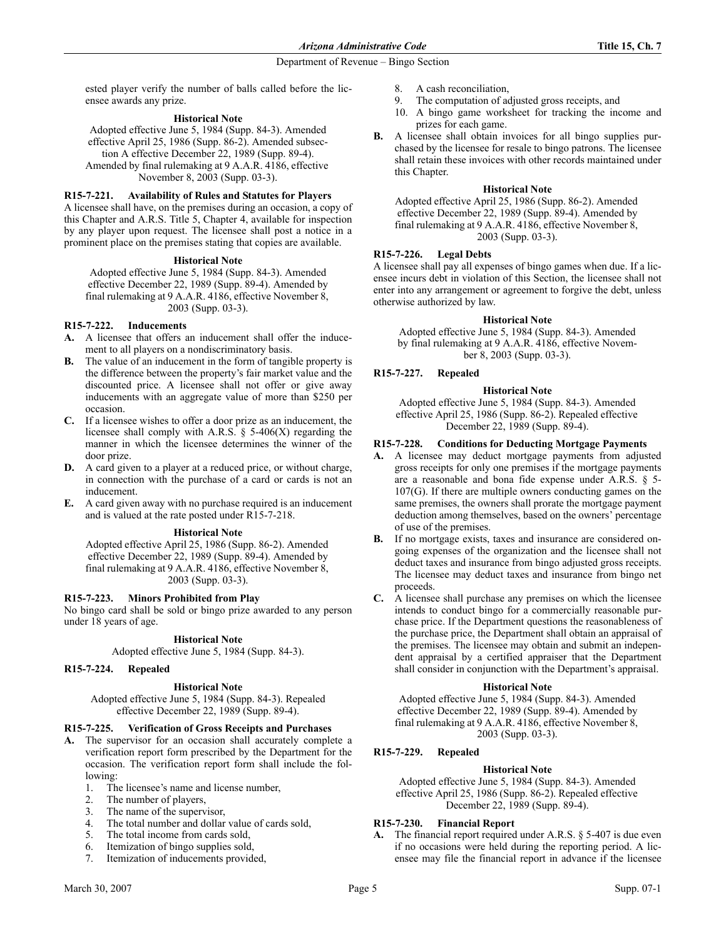ested player verify the number of balls called before the licensee awards any prize.

# **Historical Note**

Adopted effective June 5, 1984 (Supp. 84-3). Amended effective April 25, 1986 (Supp. 86-2). Amended subsection A effective December 22, 1989 (Supp. 89-4). Amended by final rulemaking at 9 A.A.R. 4186, effective November 8, 2003 (Supp. 03-3).

#### **R15-7-221. Availability of Rules and Statutes for Players**

A licensee shall have, on the premises during an occasion, a copy of this Chapter and A.R.S. Title 5, Chapter 4, available for inspection by any player upon request. The licensee shall post a notice in a prominent place on the premises stating that copies are available.

#### **Historical Note**

Adopted effective June 5, 1984 (Supp. 84-3). Amended effective December 22, 1989 (Supp. 89-4). Amended by final rulemaking at 9 A.A.R. 4186, effective November 8, 2003 (Supp. 03-3).

#### **R15-7-222. Inducements**

- **A.** A licensee that offers an inducement shall offer the inducement to all players on a nondiscriminatory basis.
- **B.** The value of an inducement in the form of tangible property is the difference between the property's fair market value and the discounted price. A licensee shall not offer or give away inducements with an aggregate value of more than \$250 per occasion.
- **C.** If a licensee wishes to offer a door prize as an inducement, the licensee shall comply with A.R.S.  $\S$  5-406(X) regarding the manner in which the licensee determines the winner of the door prize.
- **D.** A card given to a player at a reduced price, or without charge, in connection with the purchase of a card or cards is not an inducement.
- **E.** A card given away with no purchase required is an inducement and is valued at the rate posted under R15-7-218.

#### **Historical Note**

Adopted effective April 25, 1986 (Supp. 86-2). Amended effective December 22, 1989 (Supp. 89-4). Amended by final rulemaking at 9 A.A.R. 4186, effective November 8, 2003 (Supp. 03-3).

#### **R15-7-223. Minors Prohibited from Play**

No bingo card shall be sold or bingo prize awarded to any person under 18 years of age.

#### **Historical Note**

Adopted effective June 5, 1984 (Supp. 84-3).

#### **R15-7-224. Repealed**

#### **Historical Note**

Adopted effective June 5, 1984 (Supp. 84-3). Repealed effective December 22, 1989 (Supp. 89-4).

# **R15-7-225. Verification of Gross Receipts and Purchases**

- **A.** The supervisor for an occasion shall accurately complete a verification report form prescribed by the Department for the occasion. The verification report form shall include the following:
	- 1. The licensee's name and license number,
	- 2. The number of players,
	- 3. The name of the supervisor,
	- 4. The total number and dollar value of cards sold,
	- 5. The total income from cards sold,
	- 6. Itemization of bingo supplies sold,
	- 7. Itemization of inducements provided,
- 8. A cash reconciliation,
- The computation of adjusted gross receipts, and
- 10. A bingo game worksheet for tracking the income and prizes for each game.
- **B.** A licensee shall obtain invoices for all bingo supplies purchased by the licensee for resale to bingo patrons. The licensee shall retain these invoices with other records maintained under this Chapter.

#### **Historical Note**

Adopted effective April 25, 1986 (Supp. 86-2). Amended effective December 22, 1989 (Supp. 89-4). Amended by final rulemaking at 9 A.A.R. 4186, effective November 8, 2003 (Supp. 03-3).

# **R15-7-226. Legal Debts**

A licensee shall pay all expenses of bingo games when due. If a licensee incurs debt in violation of this Section, the licensee shall not enter into any arrangement or agreement to forgive the debt, unless otherwise authorized by law.

# **Historical Note**

Adopted effective June 5, 1984 (Supp. 84-3). Amended by final rulemaking at 9 A.A.R. 4186, effective November 8, 2003 (Supp. 03-3).

# **R15-7-227. Repealed**

# **Historical Note**

Adopted effective June 5, 1984 (Supp. 84-3). Amended effective April 25, 1986 (Supp. 86-2). Repealed effective December 22, 1989 (Supp. 89-4).

# **R15-7-228. Conditions for Deducting Mortgage Payments**

- **A.** A licensee may deduct mortgage payments from adjusted gross receipts for only one premises if the mortgage payments are a reasonable and bona fide expense under A.R.S. § 5- 107(G). If there are multiple owners conducting games on the same premises, the owners shall prorate the mortgage payment deduction among themselves, based on the owners' percentage of use of the premises.
- **B.** If no mortgage exists, taxes and insurance are considered ongoing expenses of the organization and the licensee shall not deduct taxes and insurance from bingo adjusted gross receipts. The licensee may deduct taxes and insurance from bingo net proceeds.
- **C.** A licensee shall purchase any premises on which the licensee intends to conduct bingo for a commercially reasonable purchase price. If the Department questions the reasonableness of the purchase price, the Department shall obtain an appraisal of the premises. The licensee may obtain and submit an independent appraisal by a certified appraiser that the Department shall consider in conjunction with the Department's appraisal.

#### **Historical Note**

Adopted effective June 5, 1984 (Supp. 84-3). Amended effective December 22, 1989 (Supp. 89-4). Amended by final rulemaking at 9 A.A.R. 4186, effective November 8, 2003 (Supp. 03-3).

# **R15-7-229. Repealed**

#### **Historical Note**

Adopted effective June 5, 1984 (Supp. 84-3). Amended effective April 25, 1986 (Supp. 86-2). Repealed effective December 22, 1989 (Supp. 89-4).

# **R15-7-230. Financial Report**

**A.** The financial report required under A.R.S. § 5-407 is due even if no occasions were held during the reporting period. A licensee may file the financial report in advance if the licensee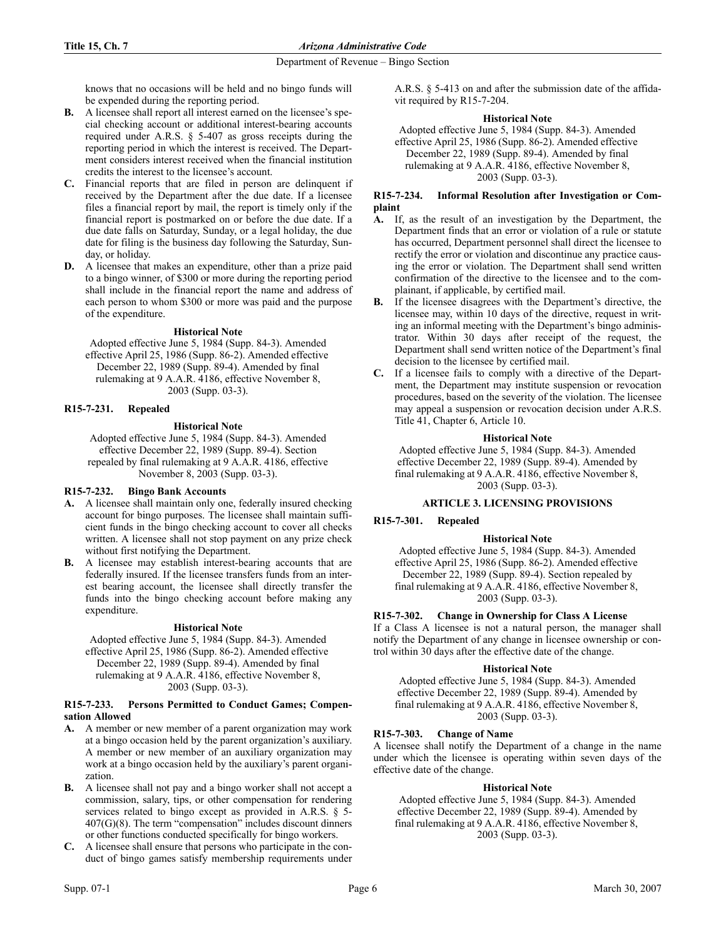knows that no occasions will be held and no bingo funds will be expended during the reporting period.

- **B.** A licensee shall report all interest earned on the licensee's special checking account or additional interest-bearing accounts required under A.R.S. § 5-407 as gross receipts during the reporting period in which the interest is received. The Department considers interest received when the financial institution credits the interest to the licensee's account.
- **C.** Financial reports that are filed in person are delinquent if received by the Department after the due date. If a licensee files a financial report by mail, the report is timely only if the financial report is postmarked on or before the due date. If a due date falls on Saturday, Sunday, or a legal holiday, the due date for filing is the business day following the Saturday, Sunday, or holiday.
- **D.** A licensee that makes an expenditure, other than a prize paid to a bingo winner, of \$300 or more during the reporting period shall include in the financial report the name and address of each person to whom \$300 or more was paid and the purpose of the expenditure.

#### **Historical Note**

Adopted effective June 5, 1984 (Supp. 84-3). Amended effective April 25, 1986 (Supp. 86-2). Amended effective December 22, 1989 (Supp. 89-4). Amended by final rulemaking at 9 A.A.R. 4186, effective November 8, 2003 (Supp. 03-3).

#### **R15-7-231. Repealed**

#### **Historical Note**

Adopted effective June 5, 1984 (Supp. 84-3). Amended effective December 22, 1989 (Supp. 89-4). Section repealed by final rulemaking at 9 A.A.R. 4186, effective November 8, 2003 (Supp. 03-3).

#### **R15-7-232. Bingo Bank Accounts**

- **A.** A licensee shall maintain only one, federally insured checking account for bingo purposes. The licensee shall maintain sufficient funds in the bingo checking account to cover all checks written. A licensee shall not stop payment on any prize check without first notifying the Department.
- **B.** A licensee may establish interest-bearing accounts that are federally insured. If the licensee transfers funds from an interest bearing account, the licensee shall directly transfer the funds into the bingo checking account before making any expenditure.

#### **Historical Note**

Adopted effective June 5, 1984 (Supp. 84-3). Amended effective April 25, 1986 (Supp. 86-2). Amended effective December 22, 1989 (Supp. 89-4). Amended by final rulemaking at 9 A.A.R. 4186, effective November 8, 2003 (Supp. 03-3).

#### **R15-7-233. Persons Permitted to Conduct Games; Compensation Allowed**

- **A.** A member or new member of a parent organization may work at a bingo occasion held by the parent organization's auxiliary. A member or new member of an auxiliary organization may work at a bingo occasion held by the auxiliary's parent organization.
- **B.** A licensee shall not pay and a bingo worker shall not accept a commission, salary, tips, or other compensation for rendering services related to bingo except as provided in A.R.S. § 5- 407(G)(8). The term "compensation" includes discount dinners or other functions conducted specifically for bingo workers.
- **C.** A licensee shall ensure that persons who participate in the conduct of bingo games satisfy membership requirements under

A.R.S. § 5-413 on and after the submission date of the affidavit required by R15-7-204.

#### **Historical Note**

Adopted effective June 5, 1984 (Supp. 84-3). Amended effective April 25, 1986 (Supp. 86-2). Amended effective December 22, 1989 (Supp. 89-4). Amended by final rulemaking at 9 A.A.R. 4186, effective November 8, 2003 (Supp. 03-3).

#### **R15-7-234. Informal Resolution after Investigation or Complaint**

- **A.** If, as the result of an investigation by the Department, the Department finds that an error or violation of a rule or statute has occurred, Department personnel shall direct the licensee to rectify the error or violation and discontinue any practice causing the error or violation. The Department shall send written confirmation of the directive to the licensee and to the complainant, if applicable, by certified mail.
- **B.** If the licensee disagrees with the Department's directive, the licensee may, within 10 days of the directive, request in writing an informal meeting with the Department's bingo administrator. Within 30 days after receipt of the request, the Department shall send written notice of the Department's final decision to the licensee by certified mail.
- **C.** If a licensee fails to comply with a directive of the Department, the Department may institute suspension or revocation procedures, based on the severity of the violation. The licensee may appeal a suspension or revocation decision under A.R.S. Title 41, Chapter 6, Article 10.

# **Historical Note**

Adopted effective June 5, 1984 (Supp. 84-3). Amended effective December 22, 1989 (Supp. 89-4). Amended by final rulemaking at 9 A.A.R. 4186, effective November 8, 2003 (Supp. 03-3).

#### **ARTICLE 3. LICENSING PROVISIONS**

#### **R15-7-301. Repealed**

#### **Historical Note**

Adopted effective June 5, 1984 (Supp. 84-3). Amended effective April 25, 1986 (Supp. 86-2). Amended effective December 22, 1989 (Supp. 89-4). Section repealed by final rulemaking at 9 A.A.R. 4186, effective November 8, 2003 (Supp. 03-3).

#### **R15-7-302. Change in Ownership for Class A License**

If a Class A licensee is not a natural person, the manager shall notify the Department of any change in licensee ownership or control within 30 days after the effective date of the change.

#### **Historical Note**

Adopted effective June 5, 1984 (Supp. 84-3). Amended effective December 22, 1989 (Supp. 89-4). Amended by final rulemaking at 9 A.A.R. 4186, effective November 8, 2003 (Supp. 03-3).

#### **R15-7-303. Change of Name**

A licensee shall notify the Department of a change in the name under which the licensee is operating within seven days of the effective date of the change.

#### **Historical Note**

Adopted effective June 5, 1984 (Supp. 84-3). Amended effective December 22, 1989 (Supp. 89-4). Amended by final rulemaking at 9 A.A.R. 4186, effective November 8, 2003 (Supp. 03-3).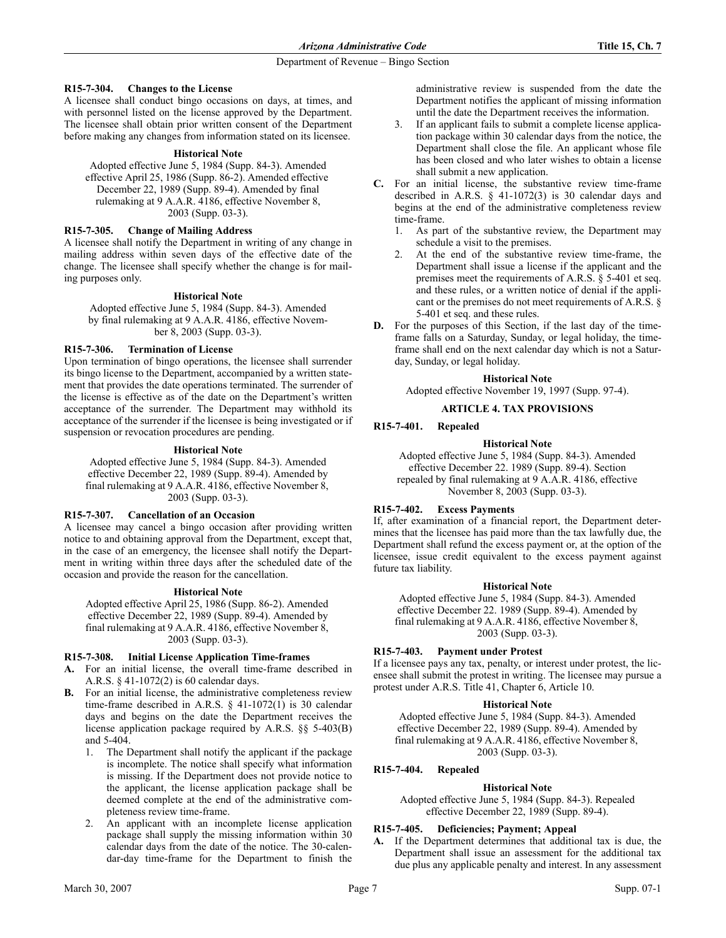# **R15-7-304. Changes to the License**

A licensee shall conduct bingo occasions on days, at times, and with personnel listed on the license approved by the Department. The licensee shall obtain prior written consent of the Department before making any changes from information stated on its licensee.

#### **Historical Note**

Adopted effective June 5, 1984 (Supp. 84-3). Amended effective April 25, 1986 (Supp. 86-2). Amended effective December 22, 1989 (Supp. 89-4). Amended by final rulemaking at 9 A.A.R. 4186, effective November 8, 2003 (Supp. 03-3).

# **R15-7-305. Change of Mailing Address**

A licensee shall notify the Department in writing of any change in mailing address within seven days of the effective date of the change. The licensee shall specify whether the change is for mailing purposes only.

#### **Historical Note**

Adopted effective June 5, 1984 (Supp. 84-3). Amended by final rulemaking at 9 A.A.R. 4186, effective November 8, 2003 (Supp. 03-3).

#### **R15-7-306. Termination of License**

Upon termination of bingo operations, the licensee shall surrender its bingo license to the Department, accompanied by a written statement that provides the date operations terminated. The surrender of the license is effective as of the date on the Department's written acceptance of the surrender. The Department may withhold its acceptance of the surrender if the licensee is being investigated or if suspension or revocation procedures are pending.

#### **Historical Note**

Adopted effective June 5, 1984 (Supp. 84-3). Amended effective December 22, 1989 (Supp. 89-4). Amended by final rulemaking at 9 A.A.R. 4186, effective November 8, 2003 (Supp. 03-3).

#### **R15-7-307. Cancellation of an Occasion**

A licensee may cancel a bingo occasion after providing written notice to and obtaining approval from the Department, except that, in the case of an emergency, the licensee shall notify the Department in writing within three days after the scheduled date of the occasion and provide the reason for the cancellation.

#### **Historical Note**

Adopted effective April 25, 1986 (Supp. 86-2). Amended effective December 22, 1989 (Supp. 89-4). Amended by final rulemaking at 9 A.A.R. 4186, effective November 8, 2003 (Supp. 03-3).

# **R15-7-308. Initial License Application Time-frames**

- **A.** For an initial license, the overall time-frame described in A.R.S. § 41-1072(2) is 60 calendar days.
- **B.** For an initial license, the administrative completeness review time-frame described in A.R.S. § 41-1072(1) is 30 calendar days and begins on the date the Department receives the license application package required by A.R.S. §§ 5-403(B) and 5-404.
	- 1. The Department shall notify the applicant if the package is incomplete. The notice shall specify what information is missing. If the Department does not provide notice to the applicant, the license application package shall be deemed complete at the end of the administrative completeness review time-frame.
	- 2. An applicant with an incomplete license application package shall supply the missing information within 30 calendar days from the date of the notice. The 30-calendar-day time-frame for the Department to finish the

administrative review is suspended from the date the Department notifies the applicant of missing information until the date the Department receives the information.

- If an applicant fails to submit a complete license application package within 30 calendar days from the notice, the Department shall close the file. An applicant whose file has been closed and who later wishes to obtain a license shall submit a new application.
- **C.** For an initial license, the substantive review time-frame described in A.R.S. § 41-1072(3) is 30 calendar days and begins at the end of the administrative completeness review time-frame.
	- 1. As part of the substantive review, the Department may schedule a visit to the premises.
	- 2. At the end of the substantive review time-frame, the Department shall issue a license if the applicant and the premises meet the requirements of A.R.S. § 5-401 et seq. and these rules, or a written notice of denial if the applicant or the premises do not meet requirements of A.R.S. § 5-401 et seq. and these rules.
- **D.** For the purposes of this Section, if the last day of the timeframe falls on a Saturday, Sunday, or legal holiday, the timeframe shall end on the next calendar day which is not a Saturday, Sunday, or legal holiday.

#### **Historical Note**

Adopted effective November 19, 1997 (Supp. 97-4).

# **ARTICLE 4. TAX PROVISIONS**

# **R15-7-401. Repealed**

# **Historical Note**

Adopted effective June 5, 1984 (Supp. 84-3). Amended effective December 22. 1989 (Supp. 89-4). Section repealed by final rulemaking at 9 A.A.R. 4186, effective November 8, 2003 (Supp. 03-3).

# **R15-7-402. Excess Payments**

If, after examination of a financial report, the Department determines that the licensee has paid more than the tax lawfully due, the Department shall refund the excess payment or, at the option of the licensee, issue credit equivalent to the excess payment against future tax liability.

#### **Historical Note**

Adopted effective June 5, 1984 (Supp. 84-3). Amended effective December 22. 1989 (Supp. 89-4). Amended by final rulemaking at 9 A.A.R. 4186, effective November 8, 2003 (Supp. 03-3).

# **R15-7-403. Payment under Protest**

If a licensee pays any tax, penalty, or interest under protest, the licensee shall submit the protest in writing. The licensee may pursue a protest under A.R.S. Title 41, Chapter 6, Article 10.

#### **Historical Note**

Adopted effective June 5, 1984 (Supp. 84-3). Amended effective December 22, 1989 (Supp. 89-4). Amended by final rulemaking at 9 A.A.R. 4186, effective November 8, 2003 (Supp. 03-3).

# **R15-7-404. Repealed**

# **Historical Note**

Adopted effective June 5, 1984 (Supp. 84-3). Repealed effective December 22, 1989 (Supp. 89-4).

# **R15-7-405. Deficiencies; Payment; Appeal**

**A.** If the Department determines that additional tax is due, the Department shall issue an assessment for the additional tax due plus any applicable penalty and interest. In any assessment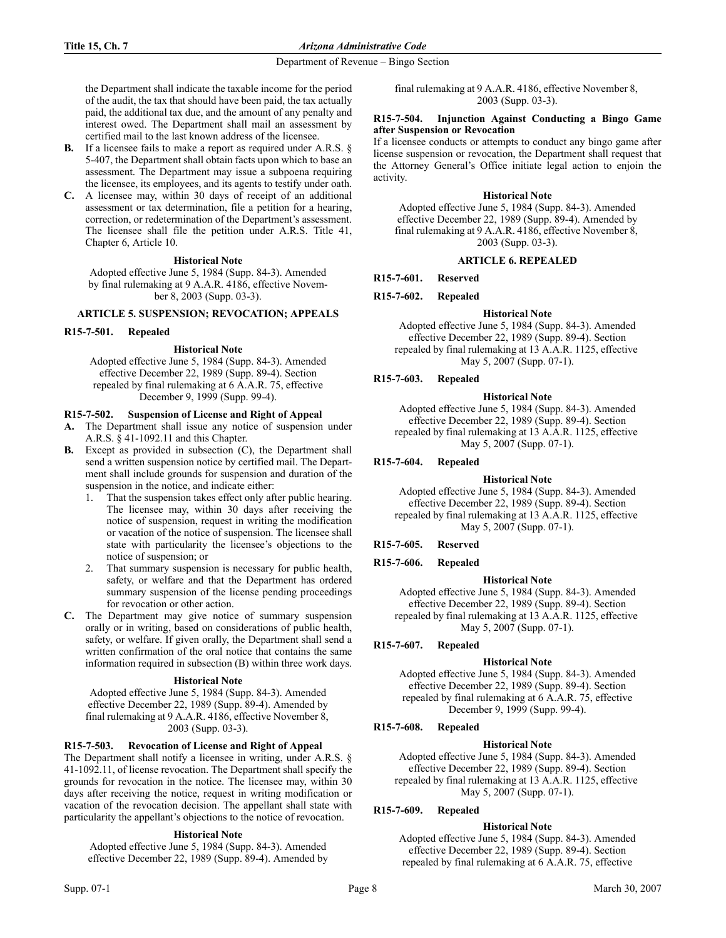#### **Title 15, Ch. 7** *Arizona Administrative Code*

Department of Revenue – Bingo Section

the Department shall indicate the taxable income for the period of the audit, the tax that should have been paid, the tax actually paid, the additional tax due, and the amount of any penalty and interest owed. The Department shall mail an assessment by certified mail to the last known address of the licensee.

- **B.** If a licensee fails to make a report as required under A.R.S. § 5-407, the Department shall obtain facts upon which to base an assessment. The Department may issue a subpoena requiring the licensee, its employees, and its agents to testify under oath.
- **C.** A licensee may, within 30 days of receipt of an additional assessment or tax determination, file a petition for a hearing, correction, or redetermination of the Department's assessment. The licensee shall file the petition under A.R.S. Title 41, Chapter 6, Article 10.

# **Historical Note**

Adopted effective June 5, 1984 (Supp. 84-3). Amended by final rulemaking at 9 A.A.R. 4186, effective November 8, 2003 (Supp. 03-3).

# **ARTICLE 5. SUSPENSION; REVOCATION; APPEALS**

# **R15-7-501. Repealed**

#### **Historical Note**

Adopted effective June 5, 1984 (Supp. 84-3). Amended effective December 22, 1989 (Supp. 89-4). Section repealed by final rulemaking at 6 A.A.R. 75, effective December 9, 1999 (Supp. 99-4).

# **R15-7-502. Suspension of License and Right of Appeal**

- **A.** The Department shall issue any notice of suspension under A.R.S. § 41-1092.11 and this Chapter.
- **B.** Except as provided in subsection (C), the Department shall send a written suspension notice by certified mail. The Department shall include grounds for suspension and duration of the suspension in the notice, and indicate either:
	- 1. That the suspension takes effect only after public hearing. The licensee may, within 30 days after receiving the notice of suspension, request in writing the modification or vacation of the notice of suspension. The licensee shall state with particularity the licensee's objections to the notice of suspension; or
	- That summary suspension is necessary for public health, safety, or welfare and that the Department has ordered summary suspension of the license pending proceedings for revocation or other action.
- **C.** The Department may give notice of summary suspension orally or in writing, based on considerations of public health, safety, or welfare. If given orally, the Department shall send a written confirmation of the oral notice that contains the same information required in subsection (B) within three work days.

#### **Historical Note**

Adopted effective June 5, 1984 (Supp. 84-3). Amended effective December 22, 1989 (Supp. 89-4). Amended by final rulemaking at 9 A.A.R. 4186, effective November 8, 2003 (Supp. 03-3).

#### **R15-7-503. Revocation of License and Right of Appeal**

The Department shall notify a licensee in writing, under A.R.S. § 41-1092.11, of license revocation. The Department shall specify the grounds for revocation in the notice. The licensee may, within 30 days after receiving the notice, request in writing modification or vacation of the revocation decision. The appellant shall state with particularity the appellant's objections to the notice of revocation.

#### **Historical Note**

Adopted effective June 5, 1984 (Supp. 84-3). Amended effective December 22, 1989 (Supp. 89-4). Amended by final rulemaking at 9 A.A.R. 4186, effective November 8, 2003 (Supp. 03-3).

#### **R15-7-504. Injunction Against Conducting a Bingo Game after Suspension or Revocation**

If a licensee conducts or attempts to conduct any bingo game after license suspension or revocation, the Department shall request that the Attorney General's Office initiate legal action to enjoin the activity.

#### **Historical Note**

Adopted effective June 5, 1984 (Supp. 84-3). Amended effective December 22, 1989 (Supp. 89-4). Amended by final rulemaking at 9 A.A.R. 4186, effective November 8, 2003 (Supp. 03-3).

# **ARTICLE 6. REPEALED**

**R15-7-601. Reserved**

#### **R15-7-602. Repealed**

# **Historical Note**

Adopted effective June 5, 1984 (Supp. 84-3). Amended effective December 22, 1989 (Supp. 89-4). Section repealed by final rulemaking at 13 A.A.R. 1125, effective May 5, 2007 (Supp. 07-1).

# **R15-7-603. Repealed**

# **Historical Note**

Adopted effective June 5, 1984 (Supp. 84-3). Amended effective December 22, 1989 (Supp. 89-4). Section repealed by final rulemaking at 13 A.A.R. 1125, effective May 5, 2007 (Supp. 07-1).

**R15-7-604. Repealed**

#### **Historical Note**

Adopted effective June 5, 1984 (Supp. 84-3). Amended effective December 22, 1989 (Supp. 89-4). Section repealed by final rulemaking at 13 A.A.R. 1125, effective May 5, 2007 (Supp. 07-1).

# **R15-7-605. Reserved**

**R15-7-606. Repealed**

#### **Historical Note**

Adopted effective June 5, 1984 (Supp. 84-3). Amended effective December 22, 1989 (Supp. 89-4). Section repealed by final rulemaking at 13 A.A.R. 1125, effective May 5, 2007 (Supp. 07-1).

#### **R15-7-607. Repealed**

#### **Historical Note**

Adopted effective June 5, 1984 (Supp. 84-3). Amended effective December 22, 1989 (Supp. 89-4). Section repealed by final rulemaking at 6 A.A.R. 75, effective December 9, 1999 (Supp. 99-4).

#### **R15-7-608. Repealed**

# **Historical Note**

Adopted effective June 5, 1984 (Supp. 84-3). Amended effective December 22, 1989 (Supp. 89-4). Section repealed by final rulemaking at 13 A.A.R. 1125, effective May 5, 2007 (Supp. 07-1).

# **R15-7-609. Repealed**

# **Historical Note**

Adopted effective June 5, 1984 (Supp. 84-3). Amended effective December 22, 1989 (Supp. 89-4). Section repealed by final rulemaking at 6 A.A.R. 75, effective